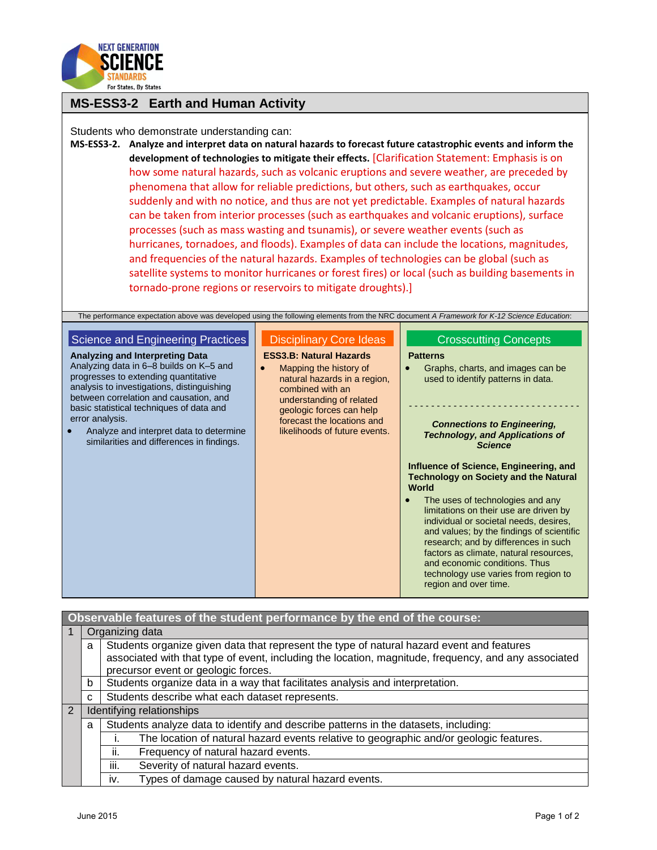

## **MS-ESS3-2 Earth and Human Activity**

Students who demonstrate understanding can:

**MS-ESS3-2. Analyze and interpret data on natural hazards to forecast future catastrophic events and inform the development of technologies to mitigate their effects.** [Clarification Statement: Emphasis is on how some natural hazards, such as volcanic eruptions and severe weather, are preceded by phenomena that allow for reliable predictions, but others, such as earthquakes, occur suddenly and with no notice, and thus are not yet predictable. Examples of natural hazards can be taken from interior processes (such as earthquakes and volcanic eruptions), surface processes (such as mass wasting and tsunamis), or severe weather events (such as hurricanes, tornadoes, and floods). Examples of data can include the locations, magnitudes, and frequencies of the natural hazards. Examples of technologies can be global (such as satellite systems to monitor hurricanes or forest fires) or local (such as building basements in tornado-prone regions or reservoirs to mitigate droughts).]

| The performance expectation above was developed using the following elements from the NRC document A Framework for K-12 Science Education:                                                                                                                            |                                                                                                                                                                                                                                                                                                                                                                                                                                                                                                                                                                                        |  |  |  |
|-----------------------------------------------------------------------------------------------------------------------------------------------------------------------------------------------------------------------------------------------------------------------|----------------------------------------------------------------------------------------------------------------------------------------------------------------------------------------------------------------------------------------------------------------------------------------------------------------------------------------------------------------------------------------------------------------------------------------------------------------------------------------------------------------------------------------------------------------------------------------|--|--|--|
| <b>Disciplinary Core Ideas</b><br><b>ESS3.B: Natural Hazards</b><br>Mapping the history of<br>natural hazards in a region,<br>combined with an<br>understanding of related<br>geologic forces can help<br>forecast the locations and<br>likelihoods of future events. | <b>Crosscutting Concepts</b><br><b>Patterns</b><br>Graphs, charts, and images can be<br>used to identify patterns in data.<br><b>Connections to Engineering,</b><br><b>Technology, and Applications of</b><br><b>Science</b><br>Influence of Science, Engineering, and<br><b>Technology on Society and the Natural</b><br>World<br>The uses of technologies and any<br>limitations on their use are driven by<br>individual or societal needs, desires,<br>and values; by the findings of scientific<br>research; and by differences in such<br>factors as climate, natural resources, |  |  |  |
|                                                                                                                                                                                                                                                                       | and economic conditions. Thus<br>technology use varies from region to<br>region and over time.                                                                                                                                                                                                                                                                                                                                                                                                                                                                                         |  |  |  |
|                                                                                                                                                                                                                                                                       |                                                                                                                                                                                                                                                                                                                                                                                                                                                                                                                                                                                        |  |  |  |

| Observable features of the student performance by the end of the course: |   |                                                                                                                                                                                                   |  |  |
|--------------------------------------------------------------------------|---|---------------------------------------------------------------------------------------------------------------------------------------------------------------------------------------------------|--|--|
|                                                                          |   | Organizing data                                                                                                                                                                                   |  |  |
|                                                                          | a | Students organize given data that represent the type of natural hazard event and features<br>associated with that type of event, including the location, magnitude, frequency, and any associated |  |  |
|                                                                          |   | precursor event or geologic forces.                                                                                                                                                               |  |  |
|                                                                          | b | Students organize data in a way that facilitates analysis and interpretation.                                                                                                                     |  |  |
|                                                                          | C | Students describe what each dataset represents.                                                                                                                                                   |  |  |
| $\overline{2}$                                                           |   | Identifying relationships                                                                                                                                                                         |  |  |
|                                                                          | a | Students analyze data to identify and describe patterns in the datasets, including:                                                                                                               |  |  |
|                                                                          |   | The location of natural hazard events relative to geographic and/or geologic features.                                                                                                            |  |  |
|                                                                          |   | Frequency of natural hazard events.<br>ii.                                                                                                                                                        |  |  |
|                                                                          |   | iii.<br>Severity of natural hazard events.                                                                                                                                                        |  |  |
|                                                                          |   | Types of damage caused by natural hazard events.<br>iv.                                                                                                                                           |  |  |